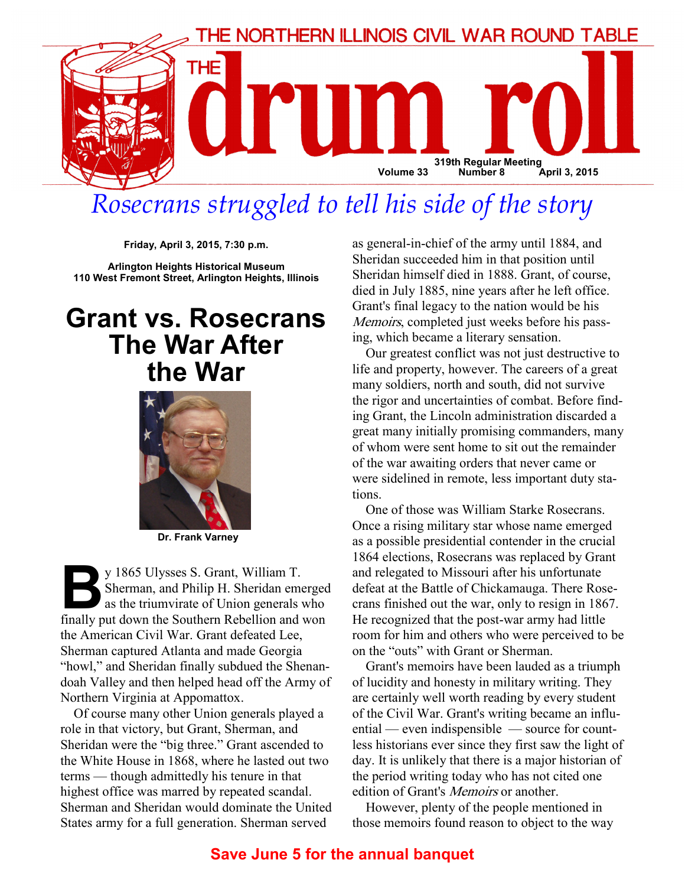

# Rosecrans struggled to tell his side of the story

Friday, April 3, 2015, 7:30 p.m.

Arlington Heights Historical Museum 110 West Fremont Street, Arlington Heights, Illinois

## Grant vs. Rosecrans The War After the War



Dr. Frank Varney

y 1865 Ulysses S. Grant, William T.<br>Sherman, and Philip H. Sheridan emerges as the triumvirate of Union generals with the Southern Rebellion and v Sherman, and Philip H. Sheridan emerged as the triumvirate of Union generals who finally put down the Southern Rebellion and won the American Civil War. Grant defeated Lee, Sherman captured Atlanta and made Georgia "howl," and Sheridan finally subdued the Shenandoah Valley and then helped head off the Army of Northern Virginia at Appomattox.

Of course many other Union generals played a role in that victory, but Grant, Sherman, and Sheridan were the "big three." Grant ascended to the White House in 1868, where he lasted out two terms — though admittedly his tenure in that highest office was marred by repeated scandal. Sherman and Sheridan would dominate the United States army for a full generation. Sherman served

as general-in-chief of the army until 1884, and Sheridan succeeded him in that position until Sheridan himself died in 1888. Grant, of course, died in July 1885, nine years after he left office. Grant's final legacy to the nation would be his Memoirs, completed just weeks before his passing, which became a literary sensation.

Our greatest conflict was not just destructive to life and property, however. The careers of a great many soldiers, north and south, did not survive the rigor and uncertainties of combat. Before finding Grant, the Lincoln administration discarded a great many initially promising commanders, many of whom were sent home to sit out the remainder of the war awaiting orders that never came or were sidelined in remote, less important duty stations.

One of those was William Starke Rosecrans. Once a rising military star whose name emerged as a possible presidential contender in the crucial 1864 elections, Rosecrans was replaced by Grant and relegated to Missouri after his unfortunate defeat at the Battle of Chickamauga. There Rosecrans finished out the war, only to resign in 1867. He recognized that the post-war army had little room for him and others who were perceived to be on the "outs" with Grant or Sherman.

Grant's memoirs have been lauded as a triumph of lucidity and honesty in military writing. They are certainly well worth reading by every student of the Civil War. Grant's writing became an influential — even indispensible — source for countless historians ever since they first saw the light of day. It is unlikely that there is a major historian of the period writing today who has not cited one edition of Grant's *Memoirs* or another.

However, plenty of the people mentioned in those memoirs found reason to object to the way

### Save June 5 for the annual banquet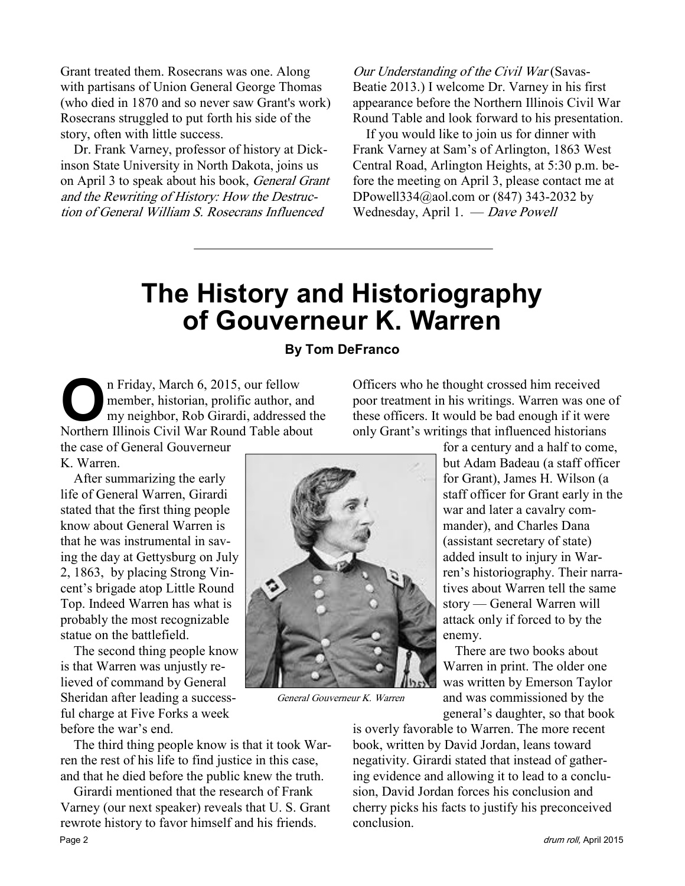Grant treated them. Rosecrans was one. Along with partisans of Union General George Thomas (who died in 1870 and so never saw Grant's work) Rosecrans struggled to put forth his side of the story, often with little success.

Dr. Frank Varney, professor of history at Dickinson State University in North Dakota, joins us on April 3 to speak about his book, General Grant and the Rewriting of History: How the Destruction of General William S. Rosecrans Influenced

Our Understanding of the Civil War (Savas-Beatie 2013.) I welcome Dr. Varney in his first appearance before the Northern Illinois Civil War Round Table and look forward to his presentation.

If you would like to join us for dinner with Frank Varney at Sam's of Arlington, 1863 West Central Road, Arlington Heights, at 5:30 p.m. before the meeting on April 3, please contact me at DPowell334@aol.com or (847) 343-2032 by Wednesday, April 1. — Dave Powell

## The History and Historiography of Gouverneur K. Warren

#### By Tom DeFranco

On Friday, March 6, 2015, our fellow<br>member, historian, prolific author, and<br>my neighbor, Rob Girardi, addressed<br>Northern Illinois Civil War Round Table abo member, historian, prolific author, and my neighbor, Rob Girardi, addressed the Northern Illinois Civil War Round Table about the case of General Gouverneur

K. Warren.

After summarizing the early life of General Warren, Girardi stated that the first thing people know about General Warren is that he was instrumental in saving the day at Gettysburg on July 2, 1863, by placing Strong Vincent's brigade atop Little Round Top. Indeed Warren has what is probably the most recognizable statue on the battlefield.

The second thing people know is that Warren was unjustly relieved of command by General Sheridan after leading a successful charge at Five Forks a week before the war's end.

The third thing people know is that it took Warren the rest of his life to find justice in this case, and that he died before the public knew the truth.

Girardi mentioned that the research of Frank Varney (our next speaker) reveals that U. S. Grant rewrote history to favor himself and his friends. Page 2 drum roll, April 2015

Officers who he thought crossed him received poor treatment in his writings. Warren was one of these officers. It would be bad enough if it were only Grant's writings that influenced historians

for a century and a half to come, but Adam Badeau (a staff officer for Grant), James H. Wilson (a staff officer for Grant early in the war and later a cavalry commander), and Charles Dana (assistant secretary of state) added insult to injury in Warren's historiography. Their narratives about Warren tell the same story — General Warren will attack only if forced to by the enemy.

 There are two books about Warren in print. The older one was written by Emerson Taylor and was commissioned by the general's daughter, so that book

is overly favorable to Warren. The more recent book, written by David Jordan, leans toward negativity. Girardi stated that instead of gathering evidence and allowing it to lead to a conclusion, David Jordan forces his conclusion and cherry picks his facts to justify his preconceived conclusion.



General Gouverneur K. Warren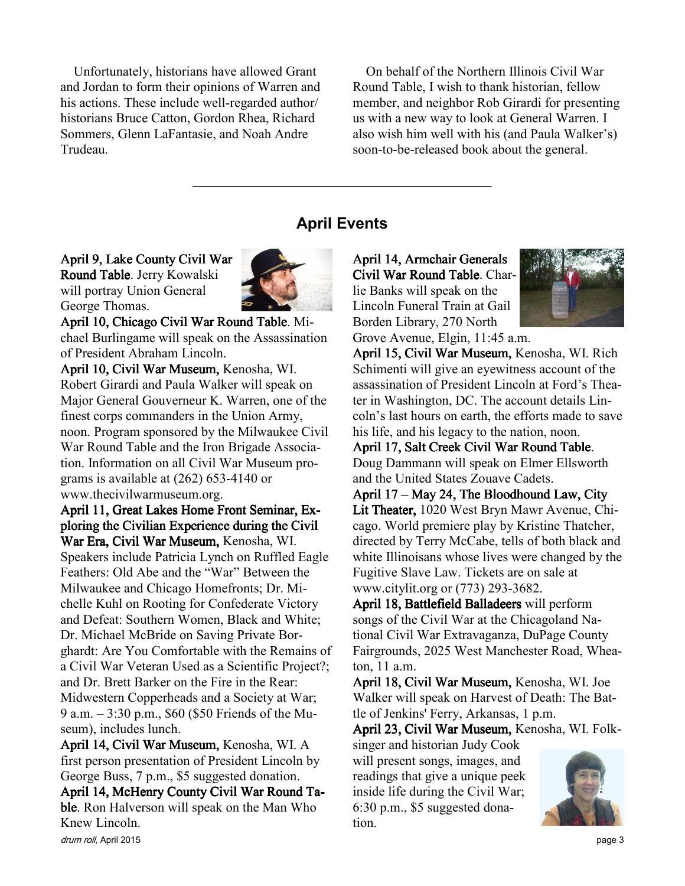Unfortunately, historians have allowed Grant and Jordan to form their opinions of Warren and his actions. These include well-regarded author/ historians Bruce Catton, Gordon Rhea, Richard Sommers, Glenn LaFantasie, and Noah Andre Trudeau.

On behalf of the Northern Illinois Civil War Round Table, I wish to thank historian, fellow member, and neighbor Rob Girardi for presenting us with a new way to look at General Warren. I also wish him well with his (and Paula Walker's) soon-to-be-released book about the general.

#### April Events

April 9, Lake County Civil War Round Table. Jerry Kowalski will portray Union General George Thomas.



April 10, Chicago Civil War Round Table. Michael Burlingame will speak on the Assassination of President Abraham Lincoln.

April 10, Civil War Museum, Kenosha, WI. Robert Girardi and Paula Walker will speak on Major General Gouverneur K. Warren, one of the finest corps commanders in the Union Army, noon. Program sponsored by the Milwaukee Civil War Round Table and the Iron Brigade Association. Information on all Civil War Museum programs is available at (262) 653-4140 or www.thecivilwarmuseum.org.

April 11, Great Lakes Home Front Seminar, Exploring the Civilian Experience during the Civil War Era, Civil War Museum, Kenosha, WI. Speakers include Patricia Lynch on Ruffled Eagle Feathers: Old Abe and the "War" Between the Milwaukee and Chicago Homefronts; Dr. Michelle Kuhl on Rooting for Confederate Victory and Defeat: Southern Women, Black and White; Dr. Michael McBride on Saving Private Borghardt: Are You Comfortable with the Remains of a Civil War Veteran Used as a Scientific Project?; and Dr. Brett Barker on the Fire in the Rear: Midwestern Copperheads and a Society at War; 9 a.m. – 3:30 p.m., \$60 (\$50 Friends of the Museum), includes lunch.

April 14, Civil War Museum, Kenosha, WI. A first person presentation of President Lincoln by George Buss, 7 p.m., \$5 suggested donation.

April 14, McHenry County Civil War Round Table. Ron Halverson will speak on the Man Who Knew Lincoln.

April 14, Armchair Generals Civil War Round Table. Charlie Banks will speak on the Lincoln Funeral Train at Gail Borden Library, 270 North Grove Avenue, Elgin, 11:45 a.m.



April 15, Civil War Museum, Kenosha, WI. Rich Schimenti will give an eyewitness account of the assassination of President Lincoln at Ford's Theater in Washington, DC. The account details Lincoln's last hours on earth, the efforts made to save his life, and his legacy to the nation, noon.

April 17, Salt Creek Civil War Round Table. Doug Dammann will speak on Elmer Ellsworth and the United States Zouave Cadets.

April  $17 - May 24$ , The Bloodhound Law, City Lit Theater, 1020 West Bryn Mawr Avenue, Chicago. World premiere play by Kristine Thatcher, directed by Terry McCabe, tells of both black and white Illinoisans whose lives were changed by the Fugitive Slave Law. Tickets are on sale at www.citylit.org or (773) 293-3682.

April 18, Battlefield Balladeers will perform songs of the Civil War at the Chicagoland National Civil War Extravaganza, DuPage County Fairgrounds, 2025 West Manchester Road, Wheaton, 11 a.m.

April 18, Civil War Museum, Kenosha, WI. Joe Walker will speak on Harvest of Death: The Battle of Jenkins' Ferry, Arkansas, 1 p.m.

April 23, Civil War Museum, Kenosha, WI. Folk-

singer and historian Judy Cook will present songs, images, and readings that give a unique peek inside life during the Civil War; 6:30 p.m., \$5 suggested donation.